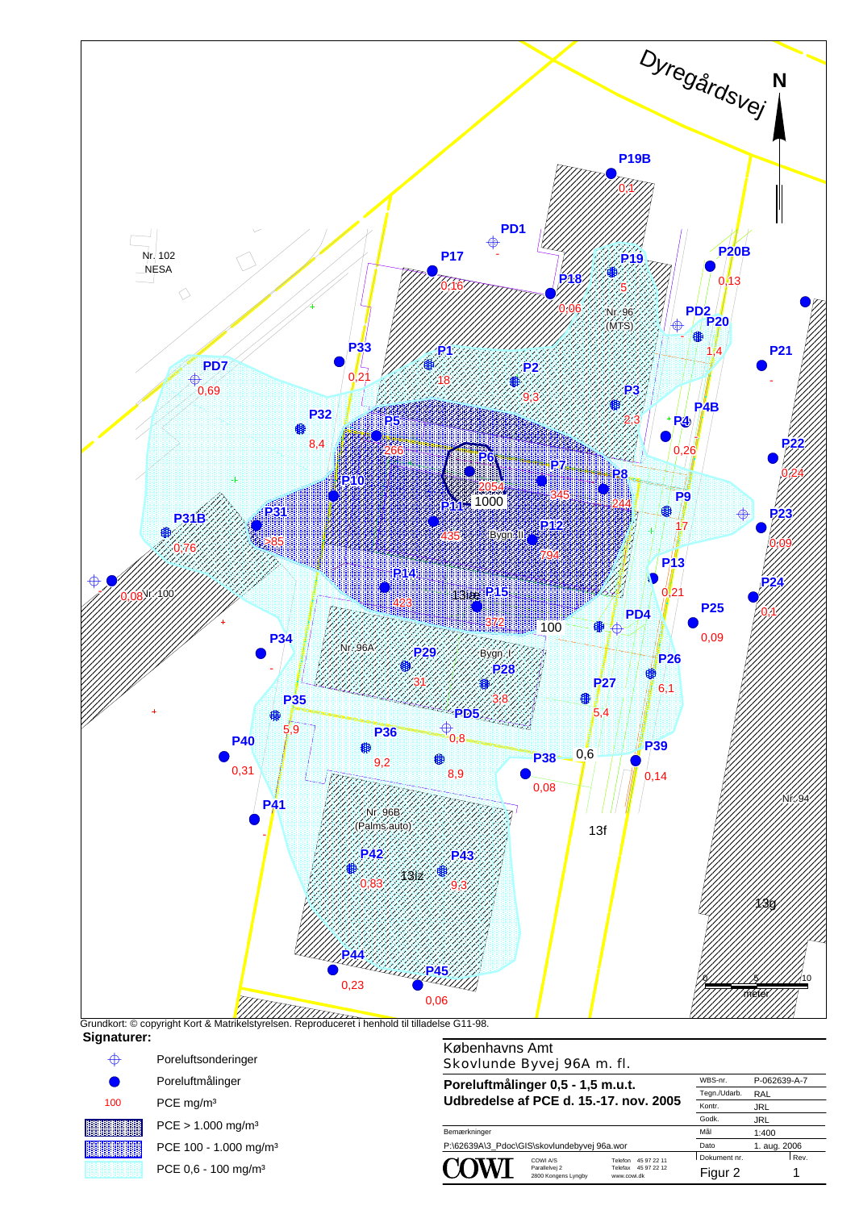



PCE 0,6 - 100 mg/m³

Bemærkninger **Udbredelse af PCE d. 15.-17. nov. 2005**

**Poreluftmålinger 0,5 - 1,5 m.u.t.**

Telefon P:\62639A\3\_Pdoc\GIS\skovlundebyvej 96a.wor Dato 1. aug. 2006

Parallelvej 2<br>2800 Kongens Lyngby

www.cowi.dk 45 97 22 12 45 97 22 11 Telefax COWI A/S Dokument nr. Rev. Dato Mål Godk. Kontr. Figur 2 1 1:400 JRL JRL

RAL P-062639-A

 $WBS-n$ 

Tegn./Uda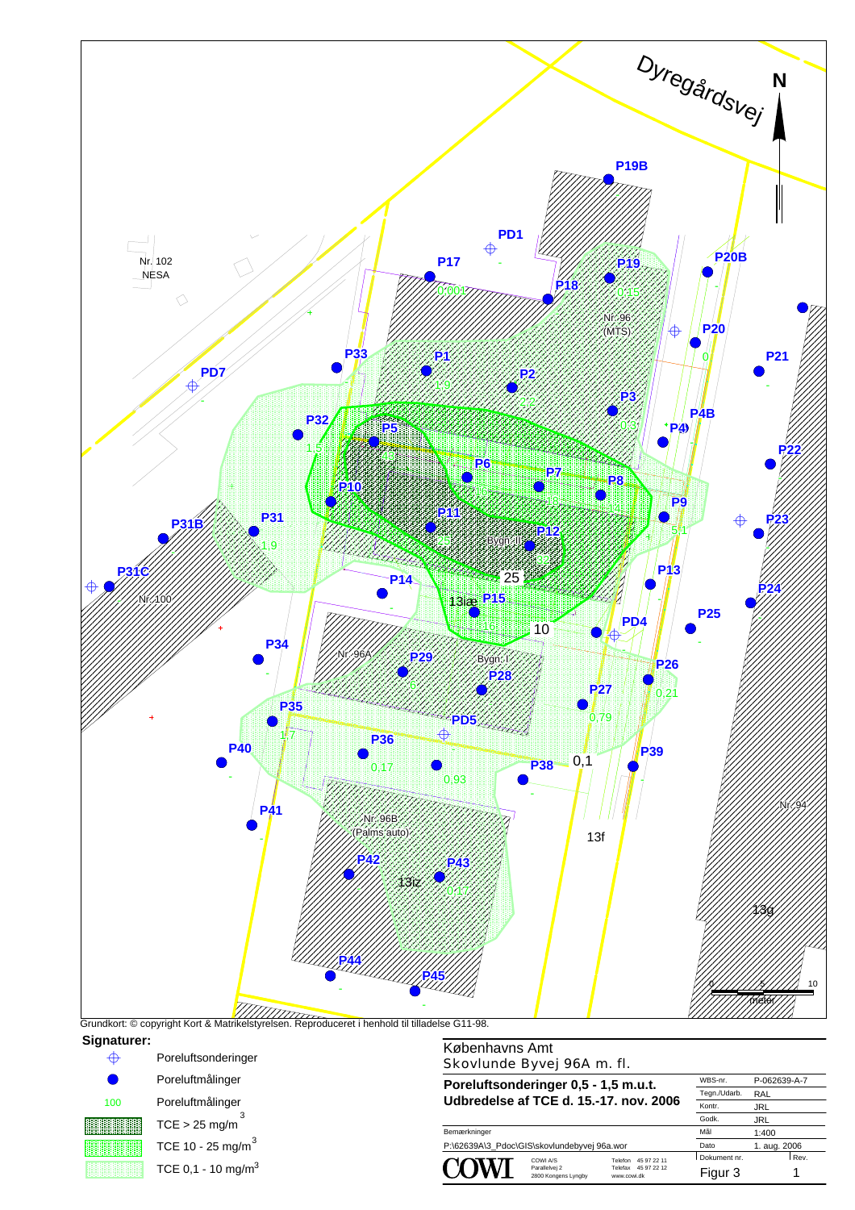



**Poreluftsonderinger 0,5 - 1,5 m.u.t. Udbredelse af TCE d. 15.-17. nov. 2006**

Bemærkninger P:\62639A\3\_Pdoc\GIS\skovlundebyvej 96a.wor Dato 1. aug. 2006<br>
NATION COWLAS Telefon 45.97.22.11 Dokument nr. Rev

Parallelvej 2<br>2800 Kongens Lyngby

Telefon www.cowi.dk 45 97 22 12 45 97 22 11 Telefax COWI A/S Dokument nr. Rev. Dato Figur 3 1 1:400

Mål

Godk. Kontr. JRL JRL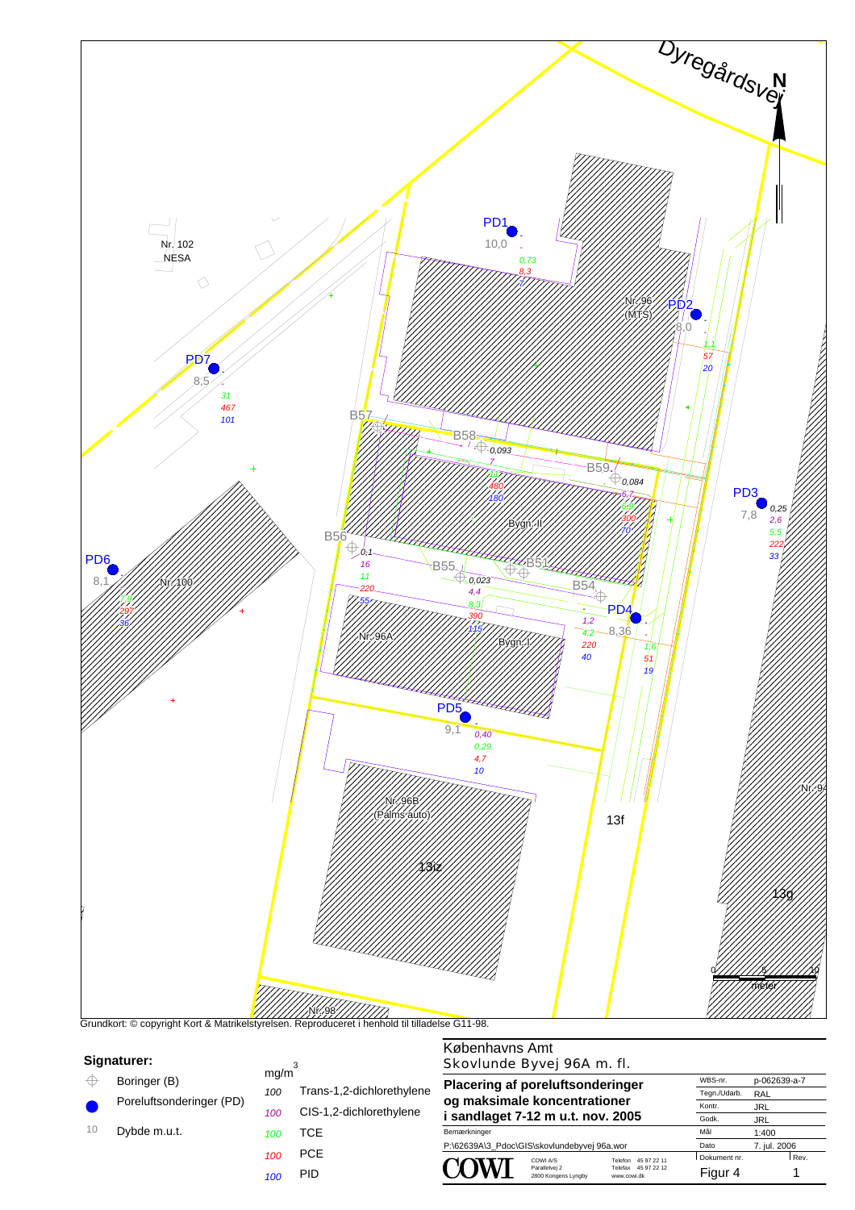

|  |  |  | Signaturer: |  |
|--|--|--|-------------|--|
|  |  |  |             |  |

- Boringer (B)  $\oplus$
- Poreluftsonderinger (PD)  $\bullet$
- 10
- Dybde m.u.t. *<sup>100</sup>*
	- *100* PCE

*100 100*

 $mg/m<sup>3</sup>$ 

*100* PID

**TCE** 

Trans-1,2-dichlorethylene CIS-1,2-dichlorethylene

## Skovlunde Byvej 96A m. fl. **Plac og** n

| <b>Placering af poreluftsonderinger</b>     |                                                 | WBS-nr.<br>Tegn./Udarb.                                         | p-062639-a-7<br>RAL |              |  |
|---------------------------------------------|-------------------------------------------------|-----------------------------------------------------------------|---------------------|--------------|--|
| og maksimale koncentrationer                |                                                 | Kontr.                                                          | <b>JRL</b>          |              |  |
| i sandlaget 7-12 m u.t. nov. 2005           |                                                 |                                                                 | Godk.               | <b>JRL</b>   |  |
| Bemærkninger                                |                                                 |                                                                 | Mål                 | 1:400        |  |
| P:\62639A\3_Pdoc\GIS\skovlundebyvej 96a.wor |                                                 |                                                                 | Dato                | 7. jul. 2006 |  |
|                                             | COWLA/S<br>Parallelvei 2<br>2800 Kongens Lyngby | 45 97 22 11<br>Telefon<br>45 97 22 12<br>Telefax<br>www.cowi.dk | Dokument nr.        | Rev.         |  |
|                                             |                                                 |                                                                 | Figur 4             |              |  |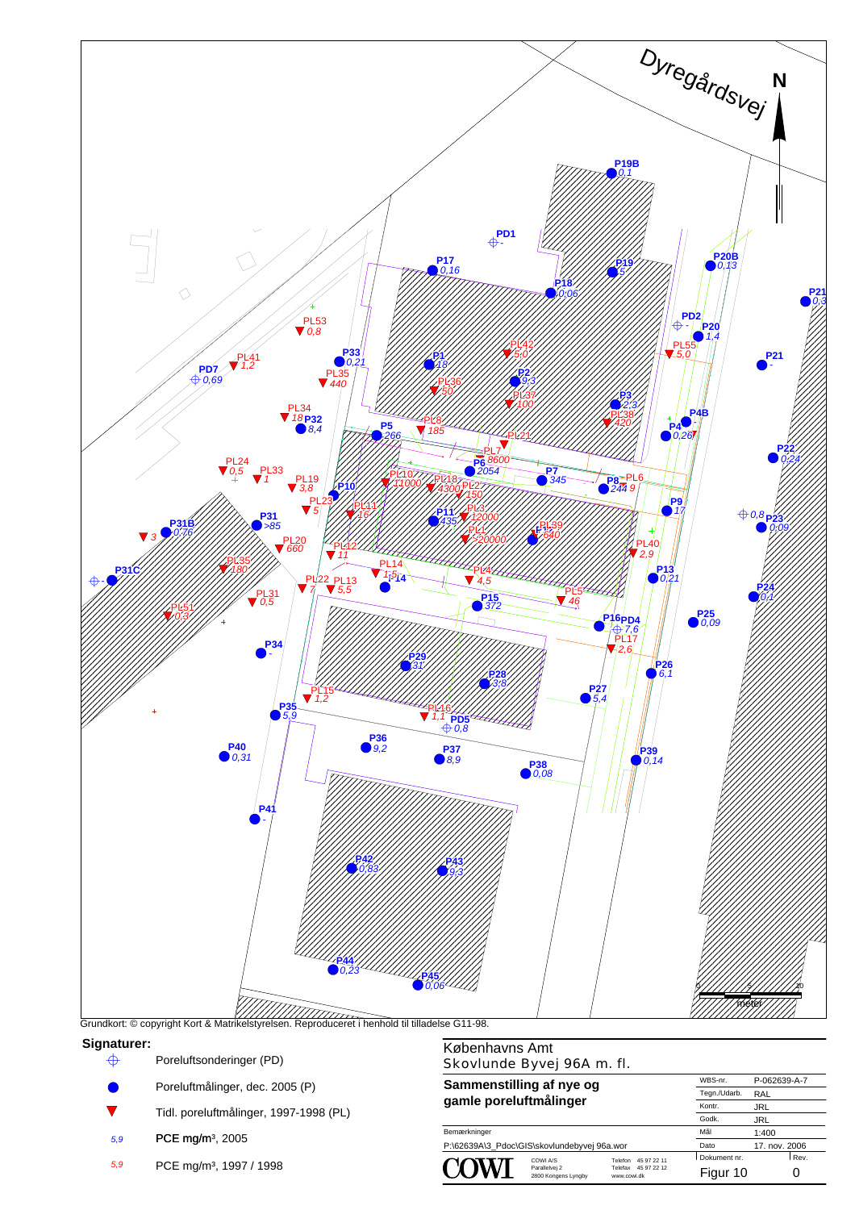

## **Signaturer:**

- $\quad \bigoplus$  Poreluftsonderinger (PD)
- Poreluftmålinger, dec. 2005 (P) ●
- $\overline{\mathbf{v}}$ Tidl. poreluftmålinger, 1997-1998 (PL)
- 5,9 PCE mg/m<sup>3</sup>, 2005
- *5,9* PCE mg/m³, 1997 / 1998

## Københavns Amt Skovlunde Byvej 96A m. fl.

| Sammenstilling af nye og<br>gamle poreluftmålinger |                                                 |                                                                 | WBS-nr.       | P-062639-A-7 |
|----------------------------------------------------|-------------------------------------------------|-----------------------------------------------------------------|---------------|--------------|
|                                                    |                                                 |                                                                 | Tegn./Udarb.  | RAL          |
|                                                    |                                                 |                                                                 | Kontr.        | <b>JRL</b>   |
|                                                    |                                                 |                                                                 | Godk.         | <b>JRL</b>   |
| Bemærkninger                                       |                                                 |                                                                 | Mål           | 1:400        |
| P:\62639A\3 Pdoc\GIS\skovlundebyvej 96a.wor        |                                                 | Dato                                                            | 17. nov. 2006 |              |
|                                                    | COWLA/S<br>Parallelvei 2<br>2800 Kongens Lyngby | 45 97 22 11<br>Telefon<br>45 97 22 12<br>Telefax<br>www.cowi.dk | Dokument nr.  | Rev.         |
|                                                    |                                                 |                                                                 | Figur 10      |              |